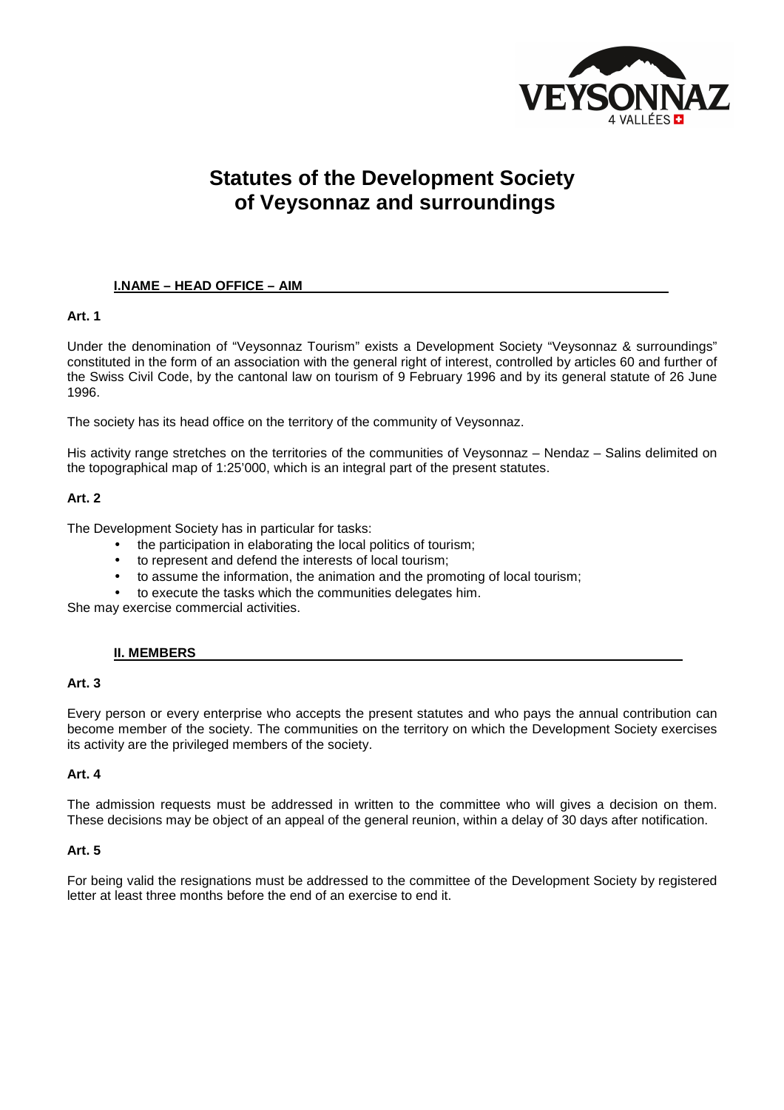

# **Statutes of the Development Society of Veysonnaz and surroundings**

# **I.NAME – HEAD OFFICE – AIM**

# **Art. 1**

Under the denomination of "Veysonnaz Tourism" exists a Development Society "Veysonnaz & surroundings" constituted in the form of an association with the general right of interest, controlled by articles 60 and further of the Swiss Civil Code, by the cantonal law on tourism of 9 February 1996 and by its general statute of 26 June 1996.

The society has its head office on the territory of the community of Veysonnaz.

His activity range stretches on the territories of the communities of Veysonnaz – Nendaz – Salins delimited on the topographical map of 1:25'000, which is an integral part of the present statutes.

# **Art. 2**

The Development Society has in particular for tasks:

- the participation in elaborating the local politics of tourism;
- to represent and defend the interests of local tourism;
- to assume the information, the animation and the promoting of local tourism;
- to execute the tasks which the communities delegates him.

She may exercise commercial activities.

# **II. MEMBERS**

## **Art. 3**

Every person or every enterprise who accepts the present statutes and who pays the annual contribution can become member of the society. The communities on the territory on which the Development Society exercises its activity are the privileged members of the society.

# **Art. 4**

The admission requests must be addressed in written to the committee who will gives a decision on them. These decisions may be object of an appeal of the general reunion, within a delay of 30 days after notification.

## **Art. 5**

For being valid the resignations must be addressed to the committee of the Development Society by registered letter at least three months before the end of an exercise to end it.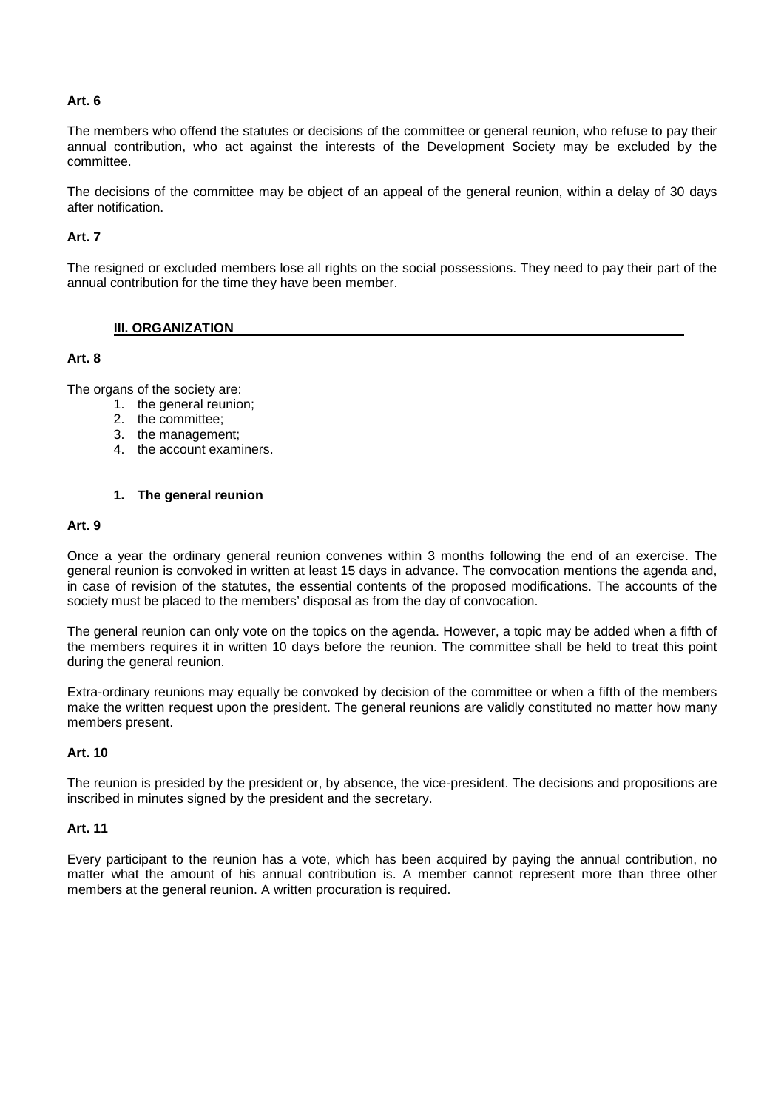# **Art. 6**

The members who offend the statutes or decisions of the committee or general reunion, who refuse to pay their annual contribution, who act against the interests of the Development Society may be excluded by the committee.

The decisions of the committee may be object of an appeal of the general reunion, within a delay of 30 days after notification.

# **Art. 7**

The resigned or excluded members lose all rights on the social possessions. They need to pay their part of the annual contribution for the time they have been member.

## **III. ORGANIZATION**

## **Art. 8**

The organs of the society are:

- 1. the general reunion;
- 2. the committee;
- 3. the management;
- 4. the account examiners.

## **1. The general reunion**

#### **Art. 9**

Once a year the ordinary general reunion convenes within 3 months following the end of an exercise. The general reunion is convoked in written at least 15 days in advance. The convocation mentions the agenda and, in case of revision of the statutes, the essential contents of the proposed modifications. The accounts of the society must be placed to the members' disposal as from the day of convocation.

The general reunion can only vote on the topics on the agenda. However, a topic may be added when a fifth of the members requires it in written 10 days before the reunion. The committee shall be held to treat this point during the general reunion.

Extra-ordinary reunions may equally be convoked by decision of the committee or when a fifth of the members make the written request upon the president. The general reunions are validly constituted no matter how many members present.

# **Art. 10**

The reunion is presided by the president or, by absence, the vice-president. The decisions and propositions are inscribed in minutes signed by the president and the secretary.

# **Art. 11**

Every participant to the reunion has a vote, which has been acquired by paying the annual contribution, no matter what the amount of his annual contribution is. A member cannot represent more than three other members at the general reunion. A written procuration is required.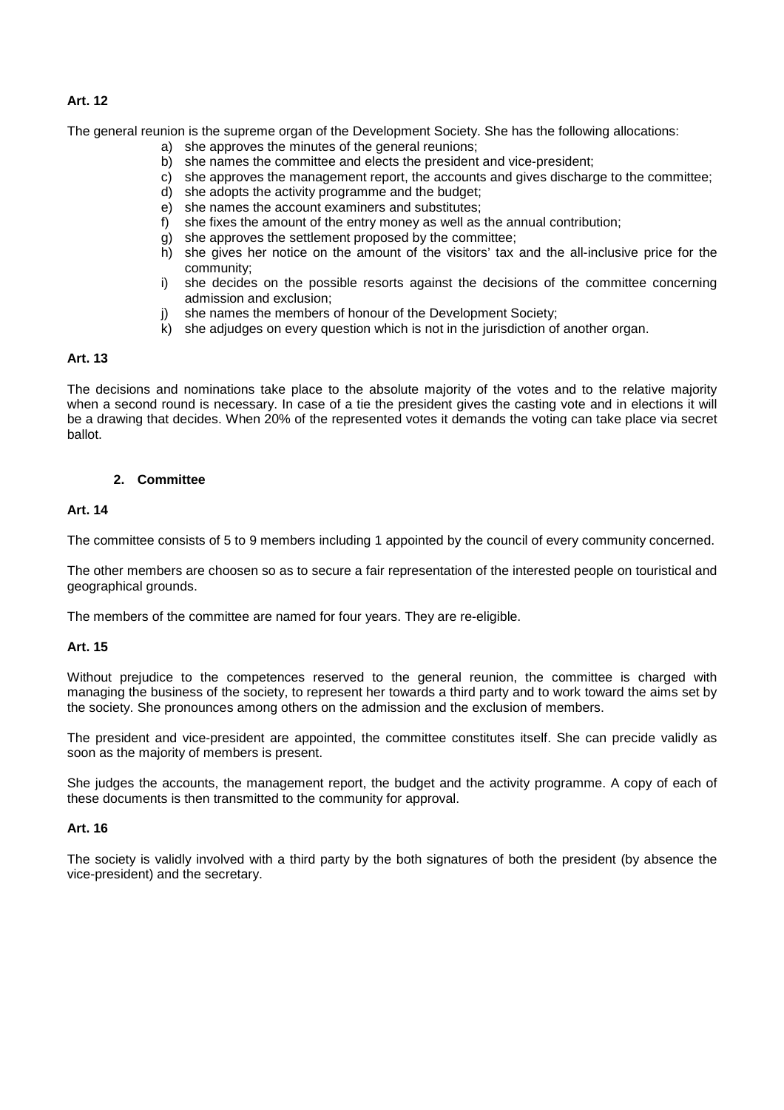# **Art. 12**

The general reunion is the supreme organ of the Development Society. She has the following allocations:

- a) she approves the minutes of the general reunions;
- b) she names the committee and elects the president and vice-president;
- c) she approves the management report, the accounts and gives discharge to the committee;
- d) she adopts the activity programme and the budget;
- e) she names the account examiners and substitutes;
- f) she fixes the amount of the entry money as well as the annual contribution;
- g) she approves the settlement proposed by the committee;
- h) she gives her notice on the amount of the visitors' tax and the all-inclusive price for the community;
- i) she decides on the possible resorts against the decisions of the committee concerning admission and exclusion;
- j) she names the members of honour of the Development Society;
- k) she adjudges on every question which is not in the jurisdiction of another organ.

#### **Art. 13**

The decisions and nominations take place to the absolute majority of the votes and to the relative majority when a second round is necessary. In case of a tie the president gives the casting vote and in elections it will be a drawing that decides. When 20% of the represented votes it demands the voting can take place via secret ballot.

## **2. Committee**

#### **Art. 14**

The committee consists of 5 to 9 members including 1 appointed by the council of every community concerned.

The other members are choosen so as to secure a fair representation of the interested people on touristical and geographical grounds.

The members of the committee are named for four years. They are re-eligible.

#### **Art. 15**

Without prejudice to the competences reserved to the general reunion, the committee is charged with managing the business of the society, to represent her towards a third party and to work toward the aims set by the society. She pronounces among others on the admission and the exclusion of members.

The president and vice-president are appointed, the committee constitutes itself. She can precide validly as soon as the majority of members is present.

She judges the accounts, the management report, the budget and the activity programme. A copy of each of these documents is then transmitted to the community for approval.

#### **Art. 16**

The society is validly involved with a third party by the both signatures of both the president (by absence the vice-president) and the secretary.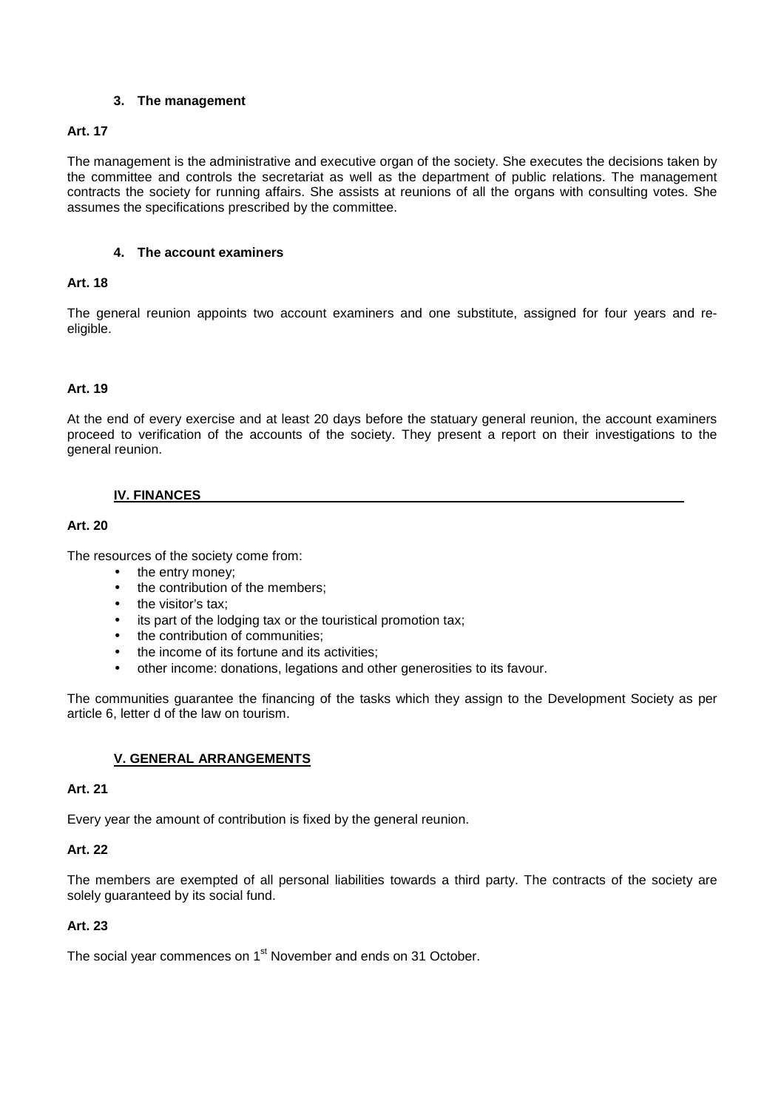## **3. The management**

# **Art. 17**

The management is the administrative and executive organ of the society. She executes the decisions taken by the committee and controls the secretariat as well as the department of public relations. The management contracts the society for running affairs. She assists at reunions of all the organs with consulting votes. She assumes the specifications prescribed by the committee.

# **4. The account examiners**

# **Art. 18**

The general reunion appoints two account examiners and one substitute, assigned for four years and reeligible.

# **Art. 19**

At the end of every exercise and at least 20 days before the statuary general reunion, the account examiners proceed to verification of the accounts of the society. They present a report on their investigations to the general reunion.

# **IV. FINANCES**

## **Art. 20**

The resources of the society come from:

- the entry money;
- the contribution of the members;
- the visitor's tax:
- its part of the lodging tax or the touristical promotion tax;
- the contribution of communities;
- the income of its fortune and its activities;
- other income: donations, legations and other generosities to its favour.

The communities guarantee the financing of the tasks which they assign to the Development Society as per article 6, letter d of the law on tourism.

# **V. GENERAL ARRANGEMENTS**

## **Art. 21**

Every year the amount of contribution is fixed by the general reunion.

# **Art. 22**

The members are exempted of all personal liabilities towards a third party. The contracts of the society are solely guaranteed by its social fund.

## **Art. 23**

The social year commences on 1<sup>st</sup> November and ends on 31 October.